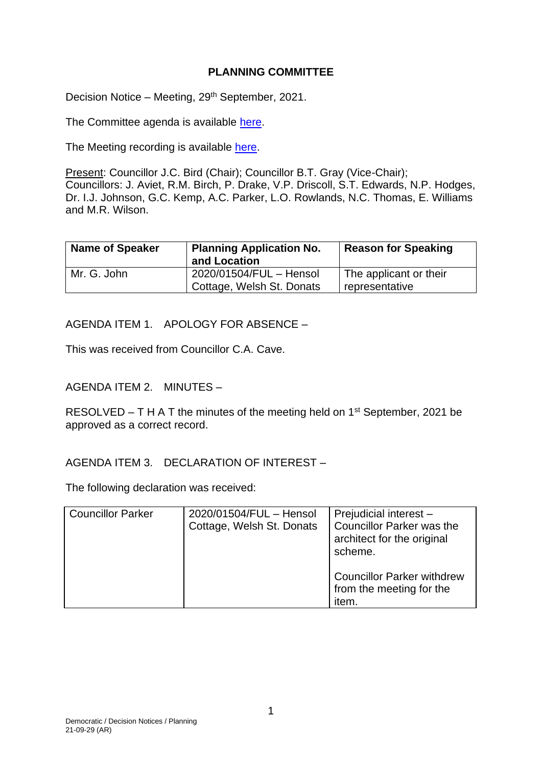## **PLANNING COMMITTEE**

Decision Notice – Meeting, 29<sup>th</sup> September, 2021.

The Committee agenda is available [here.](https://www.valeofglamorgan.gov.uk/en/our_council/Council-Structure/minutes,_agendas_and_reports/agendas/planning/2021/21-09-29.aspx)

The Meeting recording is available [here.](https://www.youtube.com/watch?v=AYINODDmbeU&list=PLzt4i14pgqIEYTpGwpnqhxqyIIskR95ke&index=1)

Present: Councillor J.C. Bird (Chair); Councillor B.T. Gray (Vice-Chair); Councillors: J. Aviet, R.M. Birch, P. Drake, V.P. Driscoll, S.T. Edwards, N.P. Hodges, Dr. I.J. Johnson, G.C. Kemp, A.C. Parker, L.O. Rowlands, N.C. Thomas, E. Williams and M.R. Wilson.

| <b>Name of Speaker</b> | <b>Planning Application No.</b><br>and Location      | <b>Reason for Speaking</b>               |
|------------------------|------------------------------------------------------|------------------------------------------|
| Mr. G. John            | 2020/01504/FUL - Hensol<br>Cottage, Welsh St. Donats | The applicant or their<br>representative |

AGENDA ITEM 1. APOLOGY FOR ABSENCE –

This was received from Councillor C.A. Cave.

### AGENDA ITEM 2. MINUTES –

RESOLVED – T H A T the minutes of the meeting held on  $1<sup>st</sup>$  September, 2021 be approved as a correct record.

### AGENDA ITEM 3. DECLARATION OF INTEREST –

The following declaration was received:

| <b>Councillor Parker</b> | 2020/01504/FUL - Hensol<br>Cottage, Welsh St. Donats | Prejudicial interest -<br><b>Councillor Parker was the</b><br>architect for the original |
|--------------------------|------------------------------------------------------|------------------------------------------------------------------------------------------|
|                          |                                                      | scheme.<br><b>Councillor Parker withdrew</b>                                             |
|                          |                                                      | from the meeting for the<br>item.                                                        |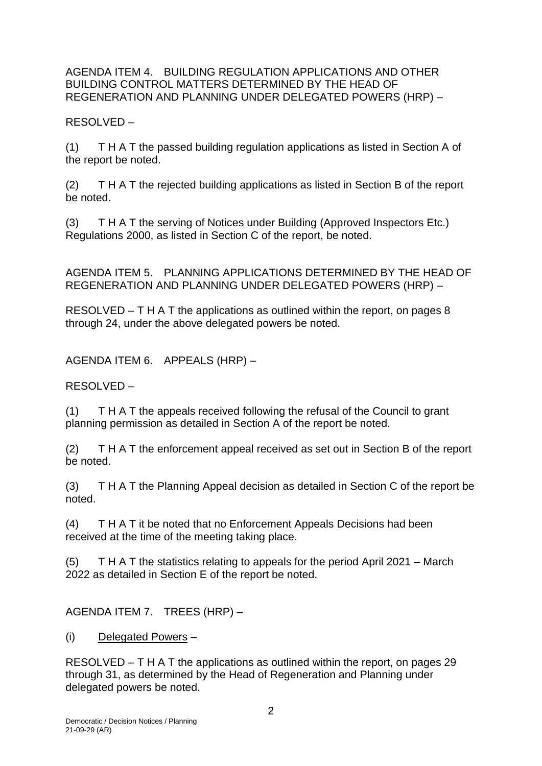### AGENDA ITEM 4. BUILDING REGULATION APPLICATIONS AND OTHER BUILDING CONTROL MATTERS DETERMINED BY THE HEAD OF REGENERATION AND PLANNING UNDER DELEGATED POWERS (HRP) –

RESOLVED –

(1) T H A T the passed building regulation applications as listed in Section A of the report be noted.

(2) T H A T the rejected building applications as listed in Section B of the report be noted.

(3) T H A T the serving of Notices under Building (Approved Inspectors Etc.) Regulations 2000, as listed in Section C of the report, be noted.

AGENDA ITEM 5. PLANNING APPLICATIONS DETERMINED BY THE HEAD OF REGENERATION AND PLANNING UNDER DELEGATED POWERS (HRP) –

RESOLVED – T H A T the applications as outlined within the report, on pages 8 through 24, under the above delegated powers be noted.

AGENDA ITEM 6. APPEALS (HRP) –

RESOLVED –

(1) T H A T the appeals received following the refusal of the Council to grant planning permission as detailed in Section A of the report be noted.

(2) T H A T the enforcement appeal received as set out in Section B of the report be noted.

(3) T H A T the Planning Appeal decision as detailed in Section C of the report be noted.

(4) T H A T it be noted that no Enforcement Appeals Decisions had been received at the time of the meeting taking place.

(5) T H A T the statistics relating to appeals for the period April 2021 – March 2022 as detailed in Section E of the report be noted.

AGENDA ITEM 7. TREES (HRP) –

(i) Delegated Powers –

RESOLVED – T H A T the applications as outlined within the report, on pages 29 through 31, as determined by the Head of Regeneration and Planning under delegated powers be noted.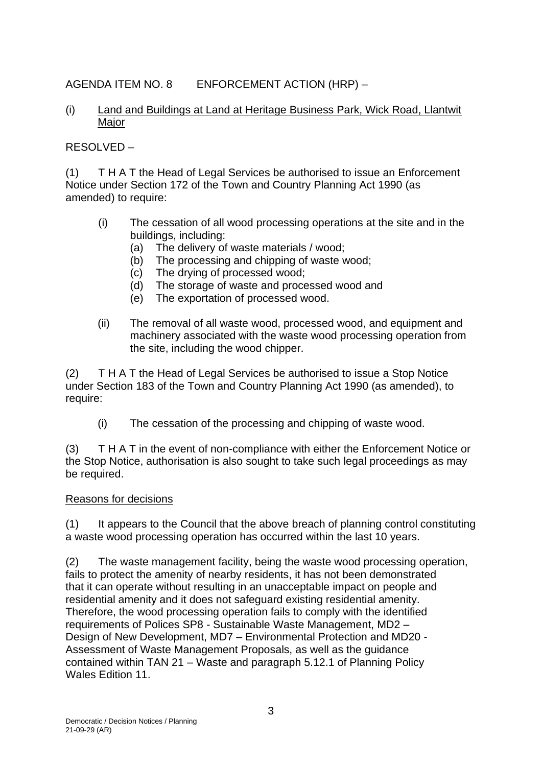# AGENDA ITEM NO. 8 ENFORCEMENT ACTION (HRP) –

## (i) Land and Buildings at Land at Heritage Business Park, Wick Road, Llantwit Major

# RESOLVED –

(1) T H A T the Head of Legal Services be authorised to issue an Enforcement Notice under Section 172 of the Town and Country Planning Act 1990 (as amended) to require:

- (i) The cessation of all wood processing operations at the site and in the buildings, including:
	- (a) The delivery of waste materials / wood;
	- (b) The processing and chipping of waste wood;
	- (c) The drying of processed wood;
	- (d) The storage of waste and processed wood and
	- (e) The exportation of processed wood.
- (ii) The removal of all waste wood, processed wood, and equipment and machinery associated with the waste wood processing operation from the site, including the wood chipper.

(2) T H A T the Head of Legal Services be authorised to issue a Stop Notice under Section 183 of the Town and Country Planning Act 1990 (as amended), to require:

(i) The cessation of the processing and chipping of waste wood.

(3) T H A T in the event of non-compliance with either the Enforcement Notice or the Stop Notice, authorisation is also sought to take such legal proceedings as may be required.

## Reasons for decisions

(1) It appears to the Council that the above breach of planning control constituting a waste wood processing operation has occurred within the last 10 years.

(2) The waste management facility, being the waste wood processing operation, fails to protect the amenity of nearby residents, it has not been demonstrated that it can operate without resulting in an unacceptable impact on people and residential amenity and it does not safeguard existing residential amenity. Therefore, the wood processing operation fails to comply with the identified requirements of Polices SP8 - Sustainable Waste Management, MD2 – Design of New Development, MD7 – Environmental Protection and MD20 - Assessment of Waste Management Proposals, as well as the guidance contained within TAN 21 – Waste and paragraph 5.12.1 of Planning Policy Wales Edition 11.